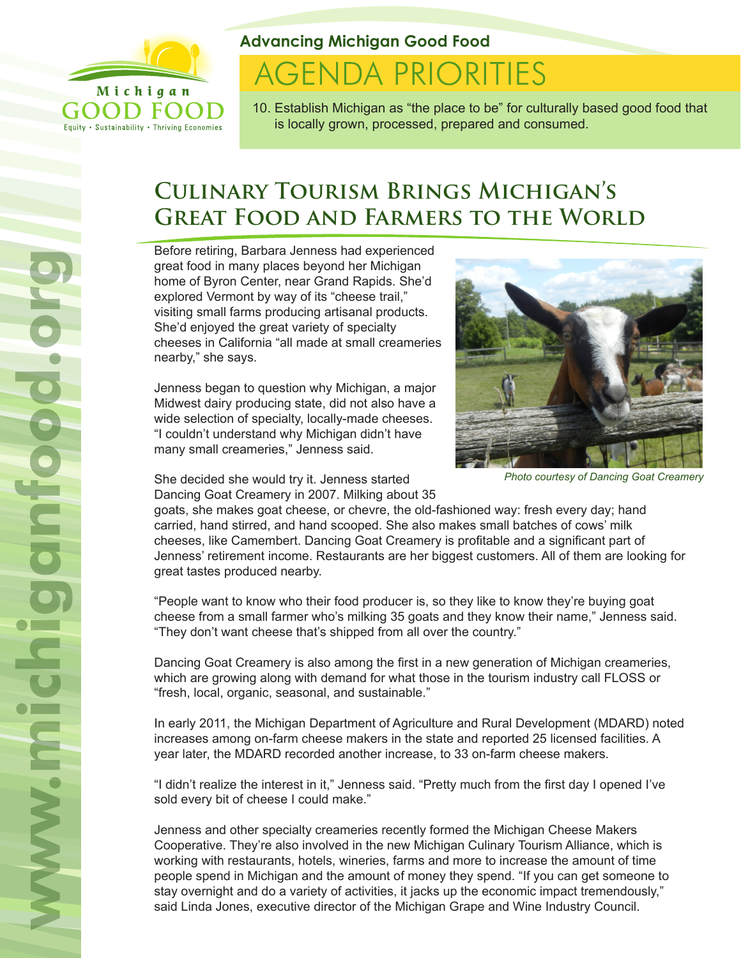

Equity . Sustainability . Thriving Economies

**Advancing Michigan Good Food**

# **AGENDA PRIORITIES**

10. Establish Michigan as "the place to be" for culturally based good food that is locally grown, processed, prepared and consumed.

# **Culinary Tourism Brings Michigan's GREAT FOOD AND FARMERS TO THE WORLD**

Before retiring, Barbara Jenness had experienced great food in many places beyond her Michigan home of Byron Center, near Grand Rapids. She'd explored Vermont by way of its "cheese trail," visiting small farms producing artisanal products. She'd enjoyed the great variety of specialty cheeses in California "all made at small creameries nearby," she says.

Jenness began to question why Michigan, a major Midwest dairy producing state, did not also have a wide selection of specialty, locally-made cheeses. "I couldn't understand why Michigan didn't have many small creameries," Jenness said.

She decided she would try it. Jenness started Dancing Goat Creamery in 2007. Milking about 35



*Photo courtesy of Dancing Goat Creamery*

goats, she makes goat cheese, or chevre, the old-fashioned way: fresh every day; hand carried, hand stirred, and hand scooped. She also makes small batches of cows' milk cheeses, like Camembert. Dancing Goat Creamery is profitable and a significant part of Jenness' retirement income. Restaurants are her biggest customers. All of them are looking for great tastes produced nearby.

"People want to know who their food producer is, so they like to know they're buying goat cheese from a small farmer who's milking 35 goats and they know their name," Jenness said. "They don't want cheese that's shipped from all over the country."

Dancing Goat Creamery is also among the first in a new generation of Michigan creameries, which are growing along with demand for what those in the tourism industry call FLOSS or "fresh, local, organic, seasonal, and sustainable."

In early 2011, the Michigan Department of Agriculture and Rural Development (MDARD) noted increases among on-farm cheese makers in the state and reported 25 licensed facilities. A year later, the MDARD recorded another increase, to 33 on-farm cheese makers.

"I didn't realize the interest in it," Jenness said. "Pretty much from the first day I opened I've sold every bit of cheese I could make."

Jenness and other specialty creameries recently formed the Michigan Cheese Makers Cooperative. They're also involved in the new Michigan Culinary Tourism Alliance, which is working with restaurants, hotels, wineries, farms and more to increase the amount of time people spend in Michigan and the amount of money they spend. "If you can get someone to stay overnight and do a variety of activities, it jacks up the economic impact tremendously," said Linda Jones, executive director of the Michigan Grape and Wine Industry Council.